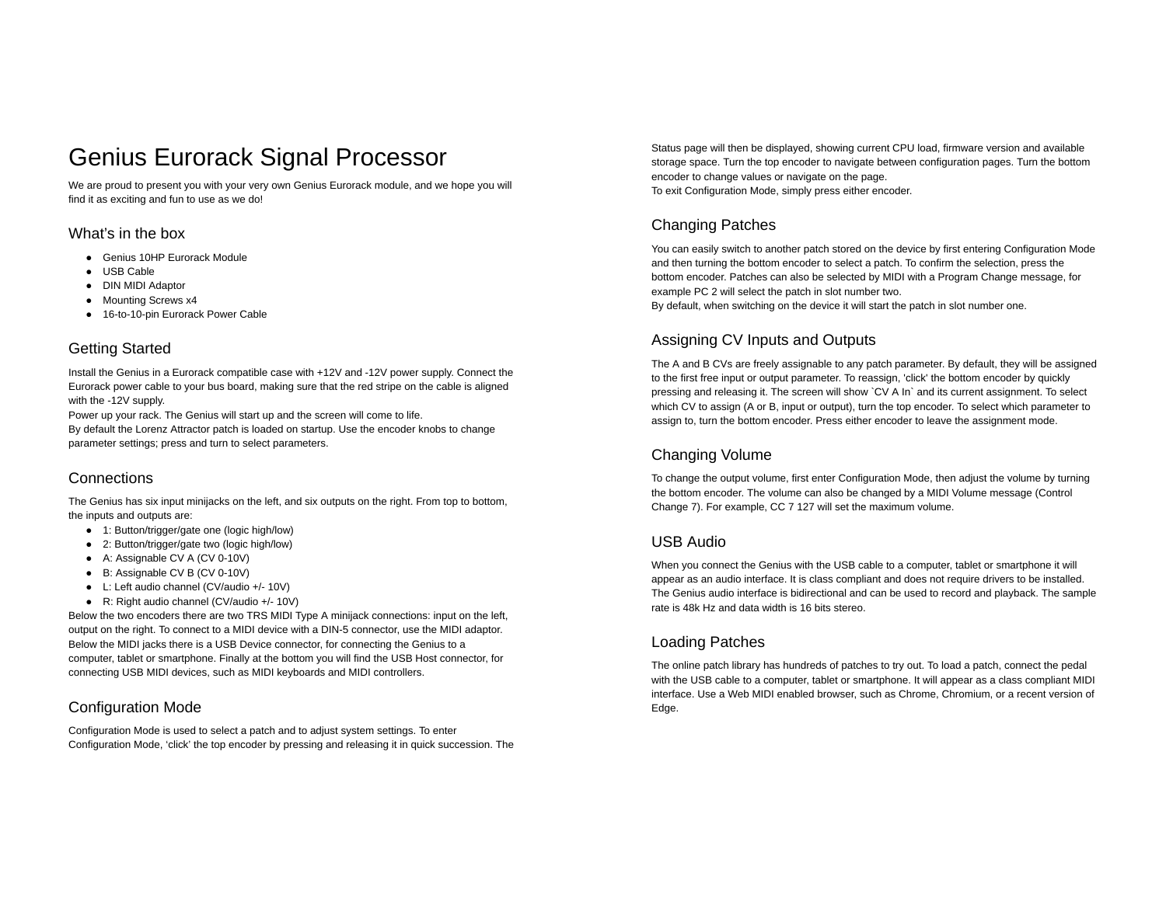# Genius Eurorack Signal Processor

We are proud to present you with your very own Genius Eurorack module, and we hope you will find it as exciting and fun to use as we do!

## What's in the box

- Genius 10HP Eurorack Module
- USB Cable
- DIN MIDI Adaptor
- Mounting Screws x4
- 16-to-10-pin Eurorack Power Cable

# Getting Started

Install the Genius in a Eurorack compatible case with +12V and -12V power supply. Connect the Eurorack power cable to your bus board, making sure that the red stripe on the cable is aligned with the -12V supply.

Power up your rack. The Genius will start up and the screen will come to life.

By default the Lorenz Attractor patch is loaded on startup. Use the encoder knobs to change parameter settings; press and turn to select parameters.

# **Connections**

The Genius has six input minijacks on the left, and six outputs on the right. From top to bottom, the inputs and outputs are:

- 1: Button/trigger/gate one (logic high/low)
- 2: Button/trigger/gate two (logic high/low)
- A: Assignable CV A (CV 0-10V)
- B: Assignable CV B (CV 0-10V)
- L: Left audio channel (CV/audio +/- 10V)
- R: Right audio channel (CV/audio +/- 10V)

Below the two encoders there are two TRS MIDI Type A minijack connections: input on the left, output on the right. To connect to a MIDI device with a DIN-5 connector, use the MIDI adaptor. Below the MIDI jacks there is a USB Device connector, for connecting the Genius to a computer, tablet or smartphone. Finally at the bottom you will find the USB Host connector, for connecting USB MIDI devices, such as MIDI keyboards and MIDI controllers.

# Configuration Mode

Configuration Mode is used to select a patch and to adjust system settings. To enter Configuration Mode, 'click' the top encoder by pressing and releasing it in quick succession. The Status page will then be displayed, showing current CPU load, firmware version and available storage space. Turn the top encoder to navigate between configuration pages. Turn the bottom encoder to change values or navigate on the page. To exit Configuration Mode, simply press either encoder.

# Changing Patches

You can easily switch to another patch stored on the device by first entering Configuration Mode and then turning the bottom encoder to select a patch. To confirm the selection, press the bottom encoder. Patches can also be selected by MIDI with a Program Change message, for example PC 2 will select the patch in slot number two.

By default, when switching on the device it will start the patch in slot number one.

# Assigning CV Inputs and Outputs

The A and B CVs are freely assignable to any patch parameter. By default, they will be assigned to the first free input or output parameter. To reassign, 'click' the bottom encoder by quickly pressing and releasing it. The screen will show `CV A In` and its current assignment. To select which CV to assign (A or B, input or output), turn the top encoder. To select which parameter to assign to, turn the bottom encoder. Press either encoder to leave the assignment mode.

# Changing Volume

To change the output volume, first enter Configuration Mode, then adjust the volume by turning the bottom encoder. The volume can also be changed by a MIDI Volume message (Control Change 7). For example, CC 7 127 will set the maximum volume.

## USB Audio

When you connect the Genius with the USB cable to a computer, tablet or smartphone it will appear as an audio interface. It is class compliant and does not require drivers to be installed. The Genius audio interface is bidirectional and can be used to record and playback. The sample rate is 48k Hz and data width is 16 bits stereo.

# Loading Patches

The online patch library has hundreds of patches to try out. To load a patch, connect the pedal with the USB cable to a computer, tablet or smartphone. It will appear as a class compliant MIDI interface. Use a Web MIDI enabled browser, such as Chrome, Chromium, or a recent version of Edge.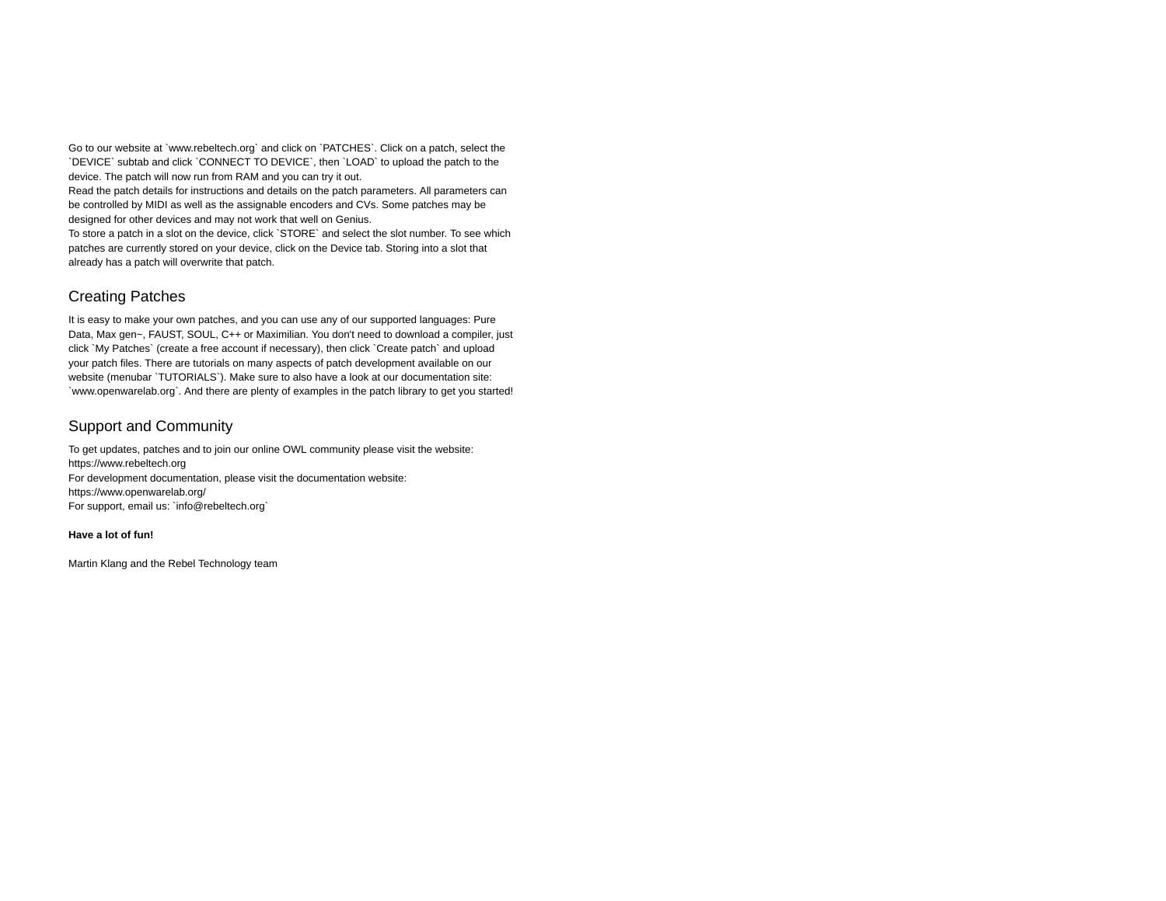Go to our website at `www.rebeltech.org` and click on `PATCHES`. Click on a patch, select the `DEVICE` subtab and click `CONNECT TO DEVICE`, then `LOAD` to upload the patch to the device. The patch will now run from RAM and you can try it out.

Read the patch details for instructions and details on the patch parameters. All parameters can be controlled by MIDI as well as the assignable encoders and CVs. Some patches may be designed for other devices and may not work that well on Genius.

To store a patch in a slot on the device, click `STORE` and select the slot number. To see which patches are currently stored on your device, click on the Device tab. Storing into a slot that already has a patch will overwrite that patch.

## Creating Patches

It is easy to make your own patches, and you can use any of our supported languages: Pure Data, Max gen~, FAUST, SOUL, C++ or Maximilian. You don't need to download a compiler, just click `My Patches` (create a free account if necessary), then click `Create patch` and upload your patch files. There are tutorials on many aspects of patch development available on our website (menubar `TUTORIALS`). Make sure to also have a look at our documentation site: `www.openwarelab.org`. And there are plenty of examples in the patch library to get you started!

# Support and Community

To get updates, patches and to join our online OWL community please visit the website: https://www.rebeltech.org For development documentation, please visit the documentation website: https://www.openwarelab.org/ For support, email us: `info@rebeltech.org`

#### **Have a lot of fun!**

Martin Klang and the Rebel Technology team